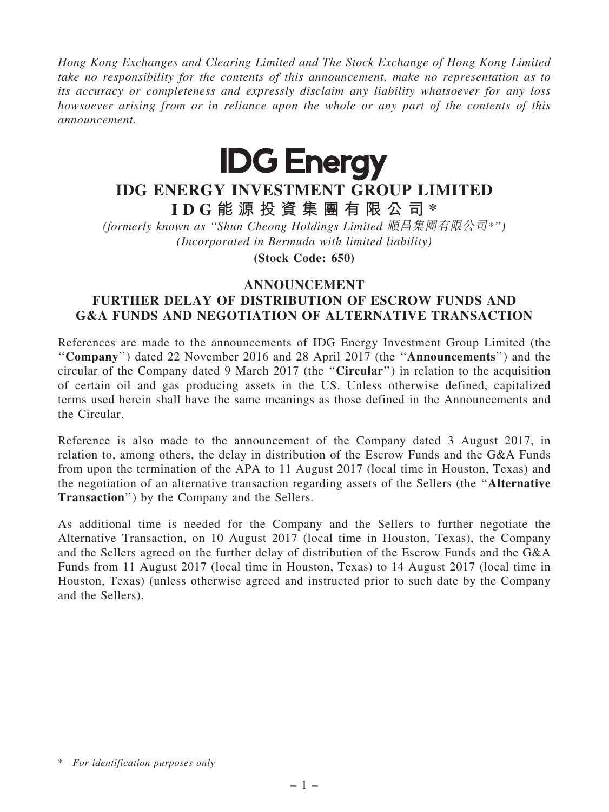Hong Kong Exchanges and Clearing Limited and The Stock Exchange of Hong Kong Limited take no responsibility for the contents of this announcement, make no representation as to its accuracy or completeness and expressly disclaim any liability whatsoever for any loss howsoever arising from or in reliance upon the whole or any part of the contents of this announcement.



## IDG ENERGY INVESTMENT GROUP LIMITED

I D G 能 源 投 資 集 團 有 限 公 司 \*

(formerly known as ''Shun Cheong Holdings Limited 順昌集團有限公司\*'') (Incorporated in Bermuda with limited liability)

(Stock Code: 650)

## ANNOUNCEMENT

## FURTHER DELAY OF DISTRIBUTION OF ESCROW FUNDS AND G&A FUNDS AND NEGOTIATION OF ALTERNATIVE TRANSACTION

References are made to the announcements of IDG Energy Investment Group Limited (the ''Company'') dated 22 November 2016 and 28 April 2017 (the ''Announcements'') and the circular of the Company dated 9 March 2017 (the ''Circular'') in relation to the acquisition of certain oil and gas producing assets in the US. Unless otherwise defined, capitalized terms used herein shall have the same meanings as those defined in the Announcements and the Circular.

Reference is also made to the announcement of the Company dated 3 August 2017, in relation to, among others, the delay in distribution of the Escrow Funds and the G&A Funds from upon the termination of the APA to 11 August 2017 (local time in Houston, Texas) and the negotiation of an alternative transaction regarding assets of the Sellers (the ''Alternative Transaction'') by the Company and the Sellers.

As additional time is needed for the Company and the Sellers to further negotiate the Alternative Transaction, on 10 August 2017 (local time in Houston, Texas), the Company and the Sellers agreed on the further delay of distribution of the Escrow Funds and the G&A Funds from 11 August 2017 (local time in Houston, Texas) to 14 August 2017 (local time in Houston, Texas) (unless otherwise agreed and instructed prior to such date by the Company and the Sellers).

<sup>\*</sup> For identification purposes only